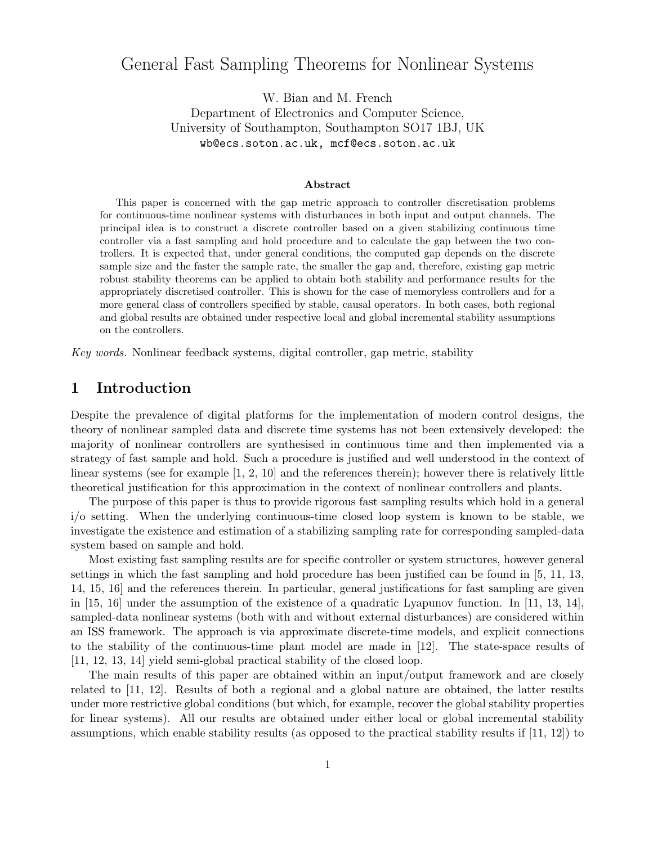# General Fast Sampling Theorems for Nonlinear Systems

W. Bian and M. French Department of Electronics and Computer Science, University of Southampton, Southampton SO17 1BJ, UK wb@ecs.soton.ac.uk, mcf@ecs.soton.ac.uk

#### Abstract

This paper is concerned with the gap metric approach to controller discretisation problems for continuous-time nonlinear systems with disturbances in both input and output channels. The principal idea is to construct a discrete controller based on a given stabilizing continuous time controller via a fast sampling and hold procedure and to calculate the gap between the two controllers. It is expected that, under general conditions, the computed gap depends on the discrete sample size and the faster the sample rate, the smaller the gap and, therefore, existing gap metric robust stability theorems can be applied to obtain both stability and performance results for the appropriately discretised controller. This is shown for the case of memoryless controllers and for a more general class of controllers specified by stable, causal operators. In both cases, both regional and global results are obtained under respective local and global incremental stability assumptions on the controllers.

Key words. Nonlinear feedback systems, digital controller, gap metric, stability

#### 1 Introduction

Despite the prevalence of digital platforms for the implementation of modern control designs, the theory of nonlinear sampled data and discrete time systems has not been extensively developed: the majority of nonlinear controllers are synthesised in continuous time and then implemented via a strategy of fast sample and hold. Such a procedure is justified and well understood in the context of linear systems (see for example [1, 2, 10] and the references therein); however there is relatively little theoretical justification for this approximation in the context of nonlinear controllers and plants.

The purpose of this paper is thus to provide rigorous fast sampling results which hold in a general i/o setting. When the underlying continuous-time closed loop system is known to be stable, we investigate the existence and estimation of a stabilizing sampling rate for corresponding sampled-data system based on sample and hold.

Most existing fast sampling results are for specific controller or system structures, however general settings in which the fast sampling and hold procedure has been justified can be found in [5, 11, 13, 14, 15, 16] and the references therein. In particular, general justifications for fast sampling are given in [15, 16] under the assumption of the existence of a quadratic Lyapunov function. In [11, 13, 14], sampled-data nonlinear systems (both with and without external disturbances) are considered within an ISS framework. The approach is via approximate discrete-time models, and explicit connections to the stability of the continuous-time plant model are made in [12]. The state-space results of [11, 12, 13, 14] yield semi-global practical stability of the closed loop.

The main results of this paper are obtained within an input/output framework and are closely related to [11, 12]. Results of both a regional and a global nature are obtained, the latter results under more restrictive global conditions (but which, for example, recover the global stability properties for linear systems). All our results are obtained under either local or global incremental stability assumptions, which enable stability results (as opposed to the practical stability results if [11, 12]) to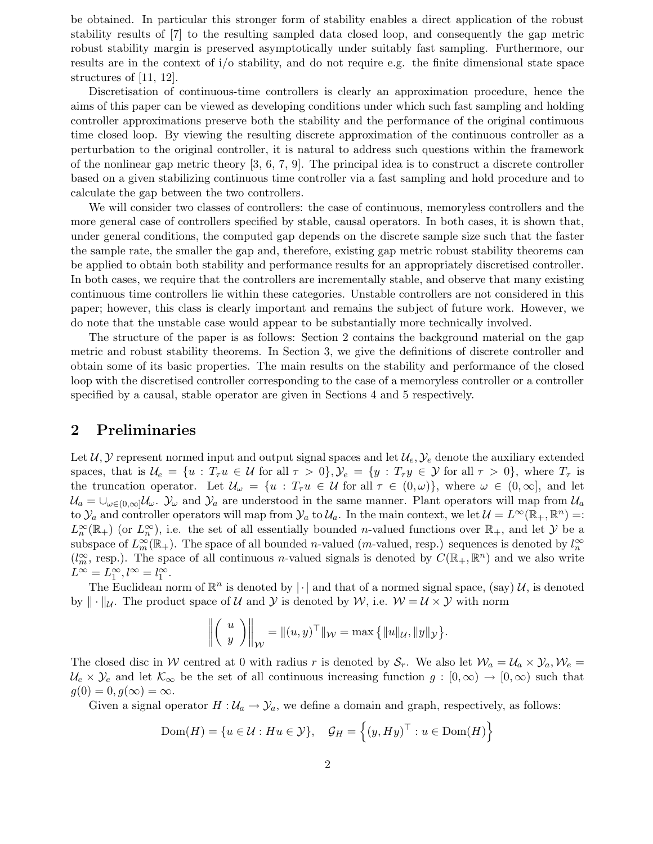be obtained. In particular this stronger form of stability enables a direct application of the robust stability results of [7] to the resulting sampled data closed loop, and consequently the gap metric robust stability margin is preserved asymptotically under suitably fast sampling. Furthermore, our results are in the context of i/o stability, and do not require e.g. the finite dimensional state space structures of [11, 12].

Discretisation of continuous-time controllers is clearly an approximation procedure, hence the aims of this paper can be viewed as developing conditions under which such fast sampling and holding controller approximations preserve both the stability and the performance of the original continuous time closed loop. By viewing the resulting discrete approximation of the continuous controller as a perturbation to the original controller, it is natural to address such questions within the framework of the nonlinear gap metric theory [3, 6, 7, 9]. The principal idea is to construct a discrete controller based on a given stabilizing continuous time controller via a fast sampling and hold procedure and to calculate the gap between the two controllers.

We will consider two classes of controllers: the case of continuous, memoryless controllers and the more general case of controllers specified by stable, causal operators. In both cases, it is shown that, under general conditions, the computed gap depends on the discrete sample size such that the faster the sample rate, the smaller the gap and, therefore, existing gap metric robust stability theorems can be applied to obtain both stability and performance results for an appropriately discretised controller. In both cases, we require that the controllers are incrementally stable, and observe that many existing continuous time controllers lie within these categories. Unstable controllers are not considered in this paper; however, this class is clearly important and remains the subject of future work. However, we do note that the unstable case would appear to be substantially more technically involved.

The structure of the paper is as follows: Section 2 contains the background material on the gap metric and robust stability theorems. In Section 3, we give the definitions of discrete controller and obtain some of its basic properties. The main results on the stability and performance of the closed loop with the discretised controller corresponding to the case of a memoryless controller or a controller specified by a causal, stable operator are given in Sections 4 and 5 respectively.

#### 2 Preliminaries

Let  $\mathcal{U}, \mathcal{Y}$  represent normed input and output signal spaces and let  $\mathcal{U}_e, \mathcal{Y}_e$  denote the auxiliary extended spaces, that is  $\mathcal{U}_e = \{u : T_\tau u \in \mathcal{U} \text{ for all } \tau > 0\}, \mathcal{Y}_e = \{y : T_\tau y \in \mathcal{Y} \text{ for all } \tau > 0\}, \text{ where } T_\tau \text{ is }$ the truncation operator. Let  $\mathcal{U}_{\omega} = \{u : T_{\tau}u \in \mathcal{U} \text{ for all } \tau \in (0,\omega)\}\$ , where  $\omega \in (0,\infty]$ , and let  $\mathcal{U}_a = \cup_{\omega \in (0,\infty]} \mathcal{U}_\omega$ .  $\mathcal{Y}_\omega$  and  $\mathcal{Y}_a$  are understood in the same manner. Plant operators will map from  $\mathcal{U}_a$ to  $\mathcal{Y}_a$  and controller operators will map from  $\mathcal{Y}_a$  to  $\mathcal{U}_a$ . In the main context, we let  $\mathcal{U} = L^{\infty}(\mathbb{R}_+, \mathbb{R}^n) =$ :  $L_n^{\infty}(\mathbb{R}_+)$  (or  $L_n^{\infty}$ ), i.e. the set of all essentially bounded *n*-valued functions over  $\mathbb{R}_+$ , and let  $\mathcal Y$  be a subspace of  $L_m^{\infty}(\mathbb{R}_+)$ . The space of all bounded *n*-valued (*m*-valued, resp.) sequences is denoted by  $l_n^{\infty}$  $(l_m^{\infty}, \text{ resp.})$ . The space of all continuous *n*-valued signals is denoted by  $C(\mathbb{R}_+, \mathbb{R}^n)$  and we also write  $L^{\infty} = L_1^{\infty}, l^{\infty} = l_1^{\infty}.$ 

The Euclidean norm of  $\mathbb{R}^n$  is denoted by  $|\cdot|$  and that of a normed signal space, (say) U, is denoted by  $\|\cdot\|_{\mathcal{U}}$ . The product space of  $\mathcal{U}$  and  $\mathcal{Y}$  is denoted by W, i.e.  $\mathcal{W} = \mathcal{U} \times \mathcal{Y}$  with norm

$$
\left\| \left( \begin{array}{c} u \\ y \end{array} \right) \right\|_{\mathcal{W}} = \|(u, y)^{\top}\|_{\mathcal{W}} = \max \{ \|u\|_{\mathcal{U}}, \|y\|_{\mathcal{Y}} \}.
$$

The closed disc in W centred at 0 with radius r is denoted by  $S_r$ . We also let  $\mathcal{W}_a = \mathcal{U}_a \times \mathcal{Y}_a, \mathcal{W}_e =$  $U_e \times Y_e$  and let  $\mathcal{K}_{\infty}$  be the set of all continuous increasing function  $g : [0, \infty) \to [0, \infty)$  such that  $g(0) = 0, g(\infty) = \infty.$ 

Given a signal operator  $H : U_a \to Y_a$ , we define a domain and graph, respectively, as follows:

$$
Dom(H) = \{u \in \mathcal{U} : Hu \in \mathcal{Y}\}, \quad \mathcal{G}_H = \{(y, Hy)^\top : u \in Dom(H)\}
$$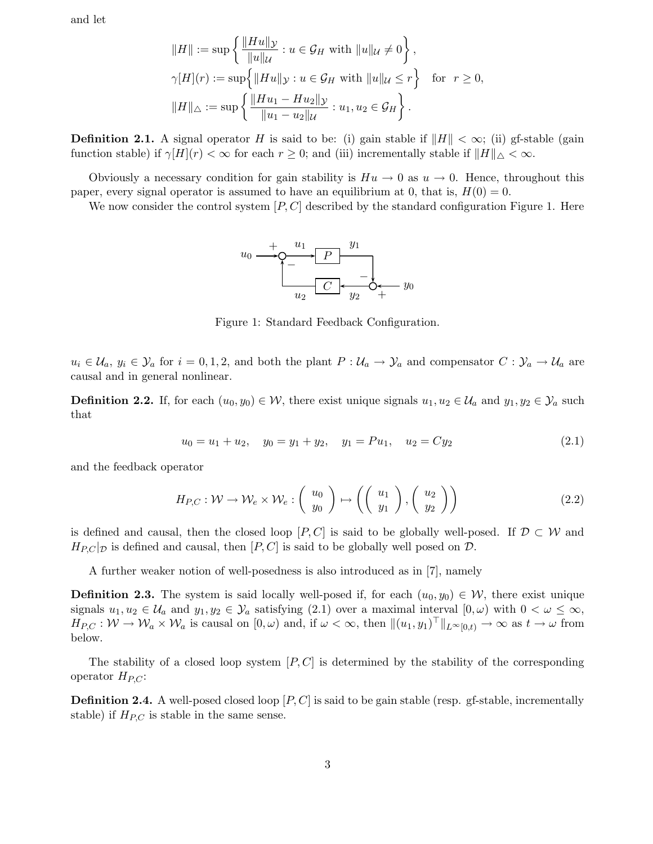and let

$$
||H|| := \sup \left\{ \frac{||Hu||_{\mathcal{Y}}}{||u||_{\mathcal{U}}} : u \in \mathcal{G}_H \text{ with } ||u||_{\mathcal{U}} \neq 0 \right\},
$$
  

$$
\gamma[H](r) := \sup \left\{ ||Hu||_{\mathcal{Y}} : u \in \mathcal{G}_H \text{ with } ||u||_{\mathcal{U}} \leq r \right\} \text{ for } r \geq 0,
$$
  

$$
||H||_{\triangle} := \sup \left\{ \frac{||Hu_1 - Hu_2||_{\mathcal{Y}}}{||u_1 - u_2||_{\mathcal{U}}} : u_1, u_2 \in \mathcal{G}_H \right\}.
$$

**Definition 2.1.** A signal operator H is said to be: (i) gain stable if  $\|H\| < \infty$ ; (ii) gf-stable (gain function stable) if  $\gamma[H](r) < \infty$  for each  $r \geq 0$ ; and (iii) incrementally stable if  $||H||_{\Delta} < \infty$ .

Obviously a necessary condition for gain stability is  $Hu \to 0$  as  $u \to 0$ . Hence, throughout this paper, every signal operator is assumed to have an equilibrium at 0, that is,  $H(0) = 0$ .

We now consider the control system  $[P, C]$  described by the standard configuration Figure 1. Here



Figure 1: Standard Feedback Configuration.

 $u_i \in \mathcal{U}_a$ ,  $y_i \in \mathcal{Y}_a$  for  $i = 0, 1, 2$ , and both the plant  $P: \mathcal{U}_a \to \mathcal{Y}_a$  and compensator  $C: \mathcal{Y}_a \to \mathcal{U}_a$  are causal and in general nonlinear.

**Definition 2.2.** If, for each  $(u_0, y_0) \in \mathcal{W}$ , there exist unique signals  $u_1, u_2 \in \mathcal{U}_a$  and  $y_1, y_2 \in \mathcal{Y}_a$  such that

$$
u_0 = u_1 + u_2, \quad y_0 = y_1 + y_2, \quad y_1 = Pu_1, \quad u_2 = Cy_2 \tag{2.1}
$$

and the feedback operator

$$
H_{P,C}: \mathcal{W} \to \mathcal{W}_e \times \mathcal{W}_e: \left(\begin{array}{c} u_0 \\ y_0 \end{array}\right) \mapsto \left(\left(\begin{array}{c} u_1 \\ y_1 \end{array}\right), \left(\begin{array}{c} u_2 \\ y_2 \end{array}\right)\right) \tag{2.2}
$$

is defined and causal, then the closed loop  $[P, C]$  is said to be globally well-posed. If  $D \subset W$  and  $H_{PC}|\mathcal{D}$  is defined and causal, then  $[P, C]$  is said to be globally well posed on  $\mathcal{D}$ .

A further weaker notion of well-posedness is also introduced as in [7], namely

**Definition 2.3.** The system is said locally well-posed if, for each  $(u_0, y_0) \in \mathcal{W}$ , there exist unique signals  $u_1, u_2 \in \mathcal{U}_a$  and  $y_1, y_2 \in \mathcal{Y}_a$  satisfying (2.1) over a maximal interval  $[0, \omega)$  with  $0 < \omega \leq \infty$ ,  $H_{P,C}: \mathcal{W} \to \mathcal{W}_a \times \mathcal{W}_a$  is causal on  $[0, \omega)$  and, if  $\omega < \infty$ , then  $\|(u_1, y_1)^\top\|_{L^\infty[0,t)} \to \infty$  as  $t \to \omega$  from below.

The stability of a closed loop system  $[P, C]$  is determined by the stability of the corresponding operator  $H_{P,C}$ :

**Definition 2.4.** A well-posed closed loop  $[P, C]$  is said to be gain stable (resp. gf-stable, incrementally stable) if  $H_{P,C}$  is stable in the same sense.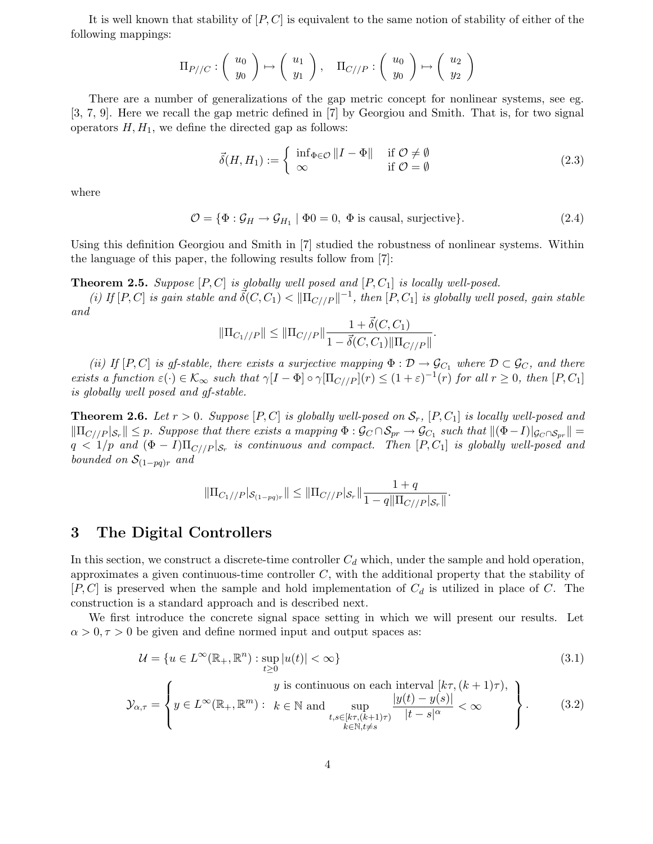It is well known that stability of  $[P, C]$  is equivalent to the same notion of stability of either of the following mappings:

$$
\Pi_{P//C}: \left(\begin{array}{c} u_0 \\ y_0 \end{array}\right) \mapsto \left(\begin{array}{c} u_1 \\ y_1 \end{array}\right), \quad \Pi_{C//P}: \left(\begin{array}{c} u_0 \\ y_0 \end{array}\right) \mapsto \left(\begin{array}{c} u_2 \\ y_2 \end{array}\right)
$$

There are a number of generalizations of the gap metric concept for nonlinear systems, see eg. [3, 7, 9]. Here we recall the gap metric defined in [7] by Georgiou and Smith. That is, for two signal operators  $H, H<sub>1</sub>$ , we define the directed gap as follows:

$$
\vec{\delta}(H, H_1) := \begin{cases} \inf_{\Phi \in \mathcal{O}} \|I - \Phi\| & \text{if } \mathcal{O} \neq \emptyset \\ \infty & \text{if } \mathcal{O} = \emptyset \end{cases}
$$
 (2.3)

where

$$
\mathcal{O} = \{ \Phi : \mathcal{G}_H \to \mathcal{G}_{H_1} \mid \Phi 0 = 0, \Phi \text{ is causal, surjective} \}. \tag{2.4}
$$

Using this definition Georgiou and Smith in [7] studied the robustness of nonlinear systems. Within the language of this paper, the following results follow from [7]:

**Theorem 2.5.** Suppose  $[P, C]$  is globally well posed and  $[P, C_1]$  is locally well-posed.

(i) If  $[P, C]$  is gain stable and  $\vec{\delta}(C, C_1) < ||\Pi_{C//P}||^{-1}$ , then  $[P, C_1]$  is globally well posed, gain stable and

$$
\|\Pi_{C_1//P}\| \le \|\Pi_{C//P}\|\frac{1+\vec{\delta}(C,C_1)}{1-\vec{\delta}(C,C_1)\|\Pi_{C//P}\|}.
$$

(ii) If  $[P, C]$  is gf-stable, there exists a surjective mapping  $\Phi : \mathcal{D} \to \mathcal{G}_{C_1}$  where  $\mathcal{D} \subset \mathcal{G}_C$ , and there exists a function  $\varepsilon(\cdot) \in \mathcal{K}_{\infty}$  such that  $\gamma[I - \Phi] \circ \gamma[\Pi_{C//P}](r) \leq (1 + \varepsilon)^{-1}(r)$  for all  $r \geq 0$ , then  $[P, C_1]$ is globally well posed and gf-stable.

**Theorem 2.6.** Let  $r > 0$ . Suppose  $[P, C]$  is globally well-posed on  $S_r$ ,  $[P, C_1]$  is locally well-posed and  $\|\Pi_{C//P}|_{\mathcal{S}_r}\|\leq p.$  Suppose that there exists a mapping  $\Phi:\mathcal{G}_C\cap\mathcal{S}_{pr}\to\mathcal{G}_{C_1}$  such that  $\|(\Phi-I)|_{\mathcal{G}_C\cap\mathcal{S}_{pr}}\|=$  $q\,<\,1/p\,$  and  $(\Phi-I)\Pi_{C//P}|_{\mathcal{S}_r}\,$  is continuous and compact. Then  $[P,C_1]$  is globally well-posed and bounded on  $S_{(1-pq)r}$  and

$$
\|\Pi_{C_1//P}|_{\mathcal{S}_{(1-pq)r}}\| \le \|\Pi_{C//P}|_{\mathcal{S}_r}\|\frac{1+q}{1-q\|\Pi_{C//P}|_{\mathcal{S}_r}\|}.
$$

#### 3 The Digital Controllers

In this section, we construct a discrete-time controller  $C_d$  which, under the sample and hold operation, approximates a given continuous-time controller  $C$ , with the additional property that the stability of  $[P, C]$  is preserved when the sample and hold implementation of  $C_d$  is utilized in place of C. The construction is a standard approach and is described next.

We first introduce the concrete signal space setting in which we will present our results. Let  $\alpha > 0, \tau > 0$  be given and define normed input and output spaces as:

$$
\mathcal{U} = \{ u \in L^{\infty}(\mathbb{R}_+, \mathbb{R}^n) : \sup_{t \ge 0} |u(t)| < \infty \}
$$
\n(3.1)

$$
\mathcal{Y}_{\alpha,\tau} = \left\{ y \in L^{\infty}(\mathbb{R}_{+}, \mathbb{R}^{m}) : \begin{array}{l} y \text{ is continuous on each interval } [k\tau, (k+1)\tau), \\ y \in \mathbb{R} \text{ and } \sup_{t,s \in [k\tau, (k+1)\tau)} \frac{|y(t) - y(s)|}{|t - s|^{\alpha}} < \infty \\ \frac{k \in \mathbb{R}, t \neq s}{\epsilon} \end{array} \right\}.
$$
 (3.2)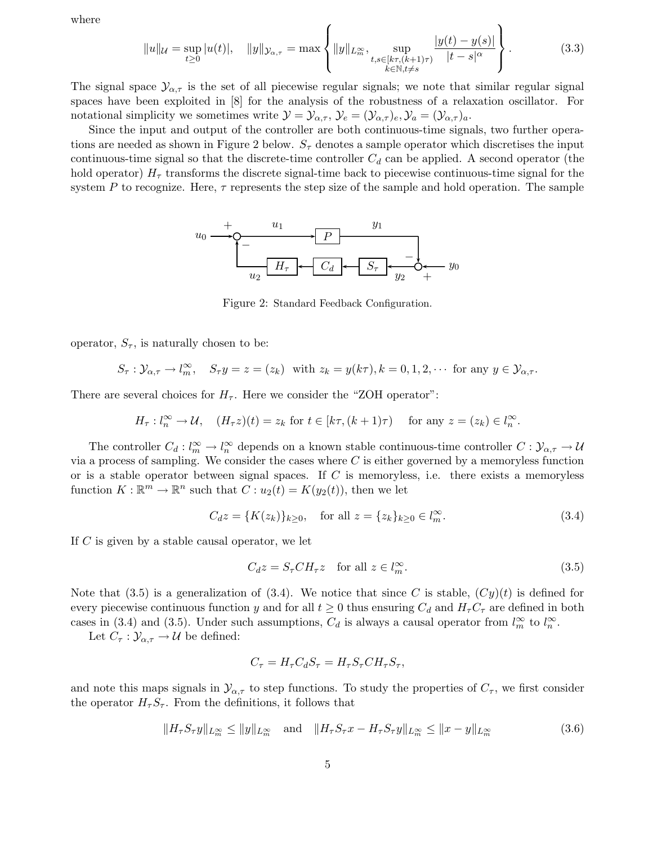where

$$
||u||_{\mathcal{U}} = \sup_{t \ge 0} |u(t)|, \quad ||y||_{\mathcal{Y}_{\alpha,\tau}} = \max \left\{ ||y||_{L^{\infty}_{m}}, \sup_{\substack{t,s \in [k\tau,(k+1)\tau) \\ k \in \mathbb{N}, t \ne s}} \frac{|y(t) - y(s)|}{|t - s|^{\alpha}} \right\}.
$$
 (3.3)

The signal space  $\mathcal{Y}_{\alpha,\tau}$  is the set of all piecewise regular signals; we note that similar regular signal spaces have been exploited in [8] for the analysis of the robustness of a relaxation oscillator. For notational simplicity we sometimes write  $\mathcal{Y} = \mathcal{Y}_{\alpha,\tau}$ ,  $\mathcal{Y}_e = (\mathcal{Y}_{\alpha,\tau})_e$ ,  $\mathcal{Y}_a = (\mathcal{Y}_{\alpha,\tau})_a$ .

Since the input and output of the controller are both continuous-time signals, two further operations are needed as shown in Figure 2 below.  $S<sub>\tau</sub>$  denotes a sample operator which discretises the input continuous-time signal so that the discrete-time controller  $C_d$  can be applied. A second operator (the hold operator)  $H<sub>\tau</sub>$  transforms the discrete signal-time back to piecewise continuous-time signal for the system P to recognize. Here,  $\tau$  represents the step size of the sample and hold operation. The sample



Figure 2: Standard Feedback Configuration.

operator,  $S_{\tau}$ , is naturally chosen to be:

$$
S_{\tau}: \mathcal{Y}_{\alpha,\tau} \to l_m^{\infty}, \quad S_{\tau}y = z = (z_k) \text{ with } z_k = y(k\tau), k = 0, 1, 2, \cdots \text{ for any } y \in \mathcal{Y}_{\alpha,\tau}.
$$

There are several choices for  $H_{\tau}$ . Here we consider the "ZOH operator":

$$
H_{\tau}: l_n^{\infty} \to \mathcal{U}, \quad (H_{\tau}z)(t) = z_k \text{ for } t \in [k\tau, (k+1)\tau) \quad \text{ for any } z = (z_k) \in l_n^{\infty}.
$$

The controller  $C_d: l_m^{\infty} \to l_n^{\infty}$  depends on a known stable continuous-time controller  $C: \mathcal{Y}_{\alpha,\tau} \to \mathcal{U}$ via a process of sampling. We consider the cases where  $C$  is either governed by a memoryless function or is a stable operator between signal spaces. If  $C$  is memoryless, i.e. there exists a memoryless function  $K : \mathbb{R}^m \to \mathbb{R}^n$  such that  $C : u_2(t) = K(y_2(t))$ , then we let

$$
C_d z = \{ K(z_k) \}_{k \ge 0}, \quad \text{for all } z = \{ z_k \}_{k \ge 0} \in l_m^{\infty}.
$$
 (3.4)

If C is given by a stable causal operator, we let

$$
C_d z = S_{\tau} C H_{\tau} z \quad \text{for all } z \in l_m^{\infty}.
$$
\n(3.5)

Note that  $(3.5)$  is a generalization of  $(3.4)$ . We notice that since C is stable,  $(Cy)(t)$  is defined for every piecewise continuous function y and for all  $t \geq 0$  thus ensuring  $C_d$  and  $H_\tau C_\tau$  are defined in both cases in (3.4) and (3.5). Under such assumptions,  $C_d$  is always a causal operator from  $l_m^{\infty}$  to  $l_n^{\infty}$ .

Let  $C_{\tau} : \mathcal{Y}_{\alpha,\tau} \to \mathcal{U}$  be defined:

$$
C_{\tau} = H_{\tau} C_d S_{\tau} = H_{\tau} S_{\tau} C H_{\tau} S_{\tau},
$$

and note this maps signals in  $\mathcal{Y}_{\alpha,\tau}$  to step functions. To study the properties of  $C_{\tau}$ , we first consider the operator  $H_{\tau}S_{\tau}$ . From the definitions, it follows that

$$
||H_{\tau}S_{\tau}y||_{L_{m}^{\infty}} \le ||y||_{L_{m}^{\infty}} \quad \text{and} \quad ||H_{\tau}S_{\tau}x - H_{\tau}S_{\tau}y||_{L_{m}^{\infty}} \le ||x - y||_{L_{m}^{\infty}}
$$
(3.6)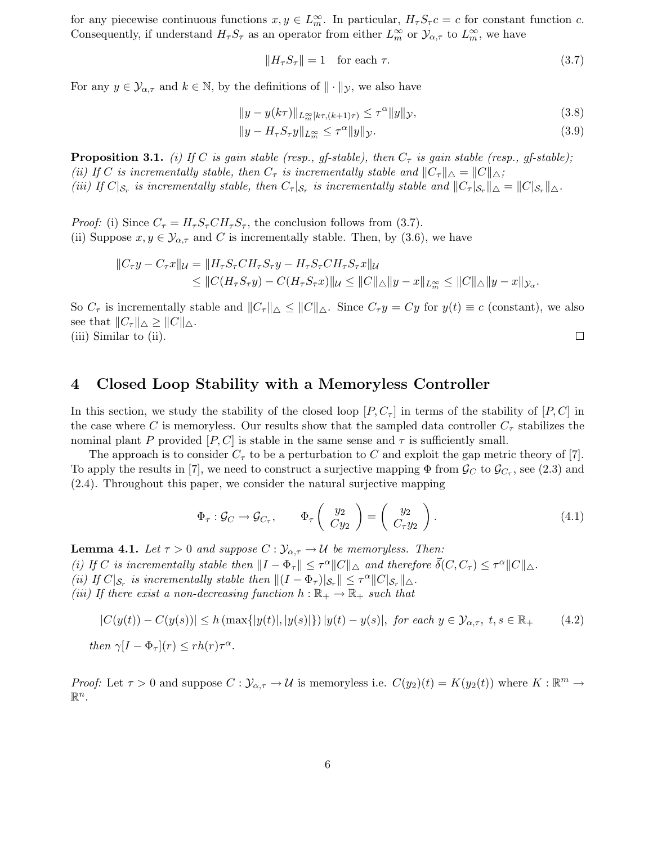for any piecewise continuous functions  $x, y \in L_m^{\infty}$ . In particular,  $H_{\tau}S_{\tau}c = c$  for constant function c. Consequently, if understand  $H_{\tau}S_{\tau}$  as an operator from either  $L_{m}^{\infty}$  or  $\mathcal{Y}_{\alpha,\tau}$  to  $L_{m}^{\infty}$ , we have

$$
||H_{\tau}S_{\tau}|| = 1 \quad \text{for each } \tau.
$$
 (3.7)

For any  $y \in \mathcal{Y}_{\alpha,\tau}$  and  $k \in \mathbb{N}$ , by the definitions of  $\|\cdot\|_{\mathcal{Y}}$ , we also have

$$
||y - y(k\tau)||_{L_m^{\infty}[k\tau,(k+1)\tau)} \leq \tau^{\alpha}||y||_{\mathcal{Y}},
$$
\n(3.8)

$$
||y - H_{\tau} S_{\tau} y||_{L_m^{\infty}} \le \tau^{\alpha} ||y||_{\mathcal{Y}}.
$$
\n(3.9)

**Proposition 3.1.** (i) If C is gain stable (resp., gf-stable), then  $C_{\tau}$  is gain stable (resp., gf-stable); (ii) If C is incrementally stable, then  $C_{\tau}$  is incrementally stable and  $||C_{\tau}||_{\Delta} = ||C||_{\Delta}$ ; (iii) If  $C|_{\mathcal{S}_r}$  is incrementally stable, then  $C_{\tau}|_{\mathcal{S}_r}$  is incrementally stable and  $||C_{\tau}|_{\mathcal{S}_r}||_{\Delta} = ||C|_{\mathcal{S}_r}||_{\Delta}$ .

*Proof:* (i) Since  $C_{\tau} = H_{\tau} S_{\tau} C H_{\tau} S_{\tau}$ , the conclusion follows from (3.7). (ii) Suppose  $x, y \in \mathcal{Y}_{\alpha,\tau}$  and C is incrementally stable. Then, by (3.6), we have

$$
||C_{\tau}y - C_{\tau}x||_{\mathcal{U}} = ||H_{\tau}S_{\tau}CH_{\tau}S_{\tau}y - H_{\tau}S_{\tau}CH_{\tau}S_{\tau}x||_{\mathcal{U}}
$$
  
\n
$$
\leq ||C(H_{\tau}S_{\tau}y) - C(H_{\tau}S_{\tau}x)||_{\mathcal{U}} \leq ||C||_{\Delta}||y - x||_{L_{m}^{\infty}} \leq ||C||_{\Delta}||y - x||_{\mathcal{Y}_{\alpha}}.
$$

So  $C_{\tau}$  is incrementally stable and  $||C_{\tau}||_{\Delta} \leq ||C||_{\Delta}$ . Since  $C_{\tau}y = Cy$  for  $y(t) \equiv c$  (constant), we also see that  $||C_\tau||_{\Delta} \geq ||C||_{\Delta}$ . (iii) Similar to (ii).  $\Box$ 

### 4 Closed Loop Stability with a Memoryless Controller

In this section, we study the stability of the closed loop  $[P, C<sub>\tau</sub>]$  in terms of the stability of  $[P, C]$  in the case where C is memoryless. Our results show that the sampled data controller  $C_{\tau}$  stabilizes the nominal plant P provided  $[P, C]$  is stable in the same sense and  $\tau$  is sufficiently small.

The approach is to consider  $C_{\tau}$  to be a perturbation to C and exploit the gap metric theory of [7]. To apply the results in [7], we need to construct a surjective mapping  $\Phi$  from  $\mathcal{G}_C$  to  $\mathcal{G}_{C_\tau}$ , see (2.3) and (2.4). Throughout this paper, we consider the natural surjective mapping

$$
\Phi_{\tau} : \mathcal{G}_C \to \mathcal{G}_{C_{\tau}}, \qquad \Phi_{\tau} \left( \begin{array}{c} y_2 \\ C y_2 \end{array} \right) = \left( \begin{array}{c} y_2 \\ C_{\tau} y_2 \end{array} \right). \tag{4.1}
$$

**Lemma 4.1.** Let  $\tau > 0$  and suppose  $C : \mathcal{Y}_{\alpha,\tau} \to \mathcal{U}$  be memoryless. Then: (i) If C is incrementally stable then  $||I - \Phi_{\tau}|| \leq \tau^{\alpha} ||C||_{\Delta}$  and therefore  $\vec{\delta}(C, C_{\tau}) \leq \tau^{\alpha} ||C||_{\Delta}$ . (ii) If  $C|_{\mathcal{S}_r}$  is incrementally stable then  $||(I - \Phi_{\tau})|_{\mathcal{S}_r}|| \leq \tau^{\alpha}||C|_{\mathcal{S}_r}||_{\Delta}$ . (iii) If there exist a non-decreasing function  $h : \mathbb{R}_+ \to \mathbb{R}_+$  such that

$$
|C(y(t)) - C(y(s))| \le h \left( \max\{|y(t)|, |y(s)|\} \right) |y(t) - y(s)|, \text{ for each } y \in \mathcal{Y}_{\alpha, \tau}, t, s \in \mathbb{R}_+ \tag{4.2}
$$
  
then  $\gamma[I - \Phi_{\tau}](r) \le rh(r)\tau^{\alpha}$ .

Proof: Let  $\tau > 0$  and suppose  $C : \mathcal{Y}_{\alpha,\tau} \to \mathcal{U}$  is memoryless i.e.  $C(y_2)(t) = K(y_2(t))$  where  $K : \mathbb{R}^m \to$  $\mathbb{R}^n$ .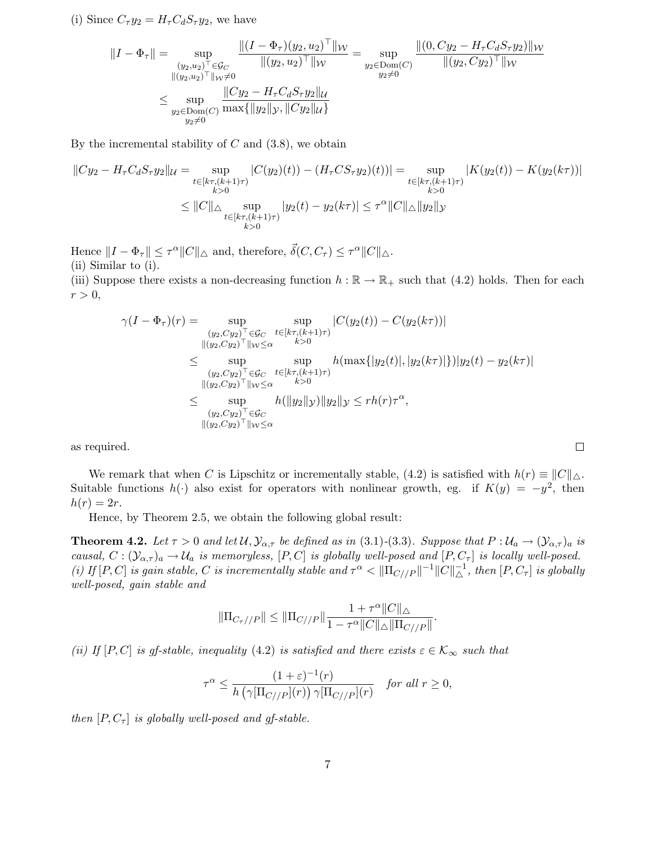(i) Since  $C_\tau y_2 = H_\tau C_d S_\tau y_2$ , we have

$$
||I - \Phi_{\tau}|| = \sup_{\substack{(y_2, u_2)^\top \in \mathcal{G}_C \\ ||(y_2, u_2)^\top||_W \neq 0}} \frac{||(I - \Phi_{\tau})(y_2, u_2)^\top||_W}{||(y_2, u_2)^\top||_W} = \sup_{\substack{y_2 \in \text{Dom}(C) \\ y_2 \neq 0}} \frac{||(0, Cy_2 - H_{\tau}C_dS_{\tau}y_2)||_W}{||(y_2, Cy_2)^\top||_W}
$$
  

$$
\leq \sup_{\substack{y_2 \in \text{Dom}(C) \\ y_2 \neq 0}} \frac{||Cy_2 - H_{\tau}C_dS_{\tau}y_2||_W}{||y_2||_W, ||Cy_2||_W}
$$

By the incremental stability of  $C$  and  $(3.8)$ , we obtain

$$
||Cy_2 - H_{\tau}C_dS_{\tau}y_2||_{\mathcal{U}} = \sup_{\substack{t \in [k\tau, (k+1)\tau) \\ k>0}} |C(y_2)(t)) - (H_{\tau}CS_{\tau}y_2)(t))| = \sup_{\substack{t \in [k\tau, (k+1)\tau) \\ k>0}} |K(y_2(t)) - K(y_2(k\tau))|
$$
  

$$
\leq ||C||_{\triangle} \sup_{\substack{t \in [k\tau, (k+1)\tau) \\ k>0}} |y_2(t) - y_2(k\tau)| \leq \tau^{\alpha} ||C||_{\triangle} ||y_2||_{\mathcal{Y}}
$$

Hence  $||I - \Phi_{\tau}|| \leq \tau^{\alpha} ||C||_{\triangle}$  and, therefore,  $\vec{\delta}(C, C_{\tau}) \leq \tau^{\alpha} ||C||_{\triangle}$ . (ii) Similar to (i).

(iii) Suppose there exists a non-decreasing function  $h : \mathbb{R} \to \mathbb{R}_+$  such that (4.2) holds. Then for each  $r > 0$ ,

$$
\gamma(I - \Phi_{\tau})(r) = \sup_{\substack{(y_2, Cy_2)^{\top} \in \mathcal{G}_C \\ ||(y_2, Cy_2)^{\top}||_{W} \leq \alpha}} \sup_{k>0} |C(y_2(t)) - C(y_2(k\tau))|
$$
  
\n
$$
\leq \sup_{\substack{(y_2, Cy_2)^{\top} \in \mathcal{G}_C \\ (y_2, Cy_2)^{\top} \in \mathcal{G}_C \\ ||(y_2, Cy_2)^{\top}||_{W} \leq \alpha}} \sup_{k>0} h(\max\{|y_2(t)|, |y_2(k\tau)|\})|y_2(t) - y_2(k\tau)|
$$
  
\n
$$
\leq \sup_{\substack{(y_2, Cy_2)^{\top} \in \mathcal{G}_C \\ (y_2, Cy_2)^{\top} \in \mathcal{G}_C \\ ||(y_2, Cy_2)^{\top}||_{W} \leq \alpha}} h(\|y_2\|_{\mathcal{Y}})\|y_2\|_{\mathcal{Y}} \leq rh(r)\tau^{\alpha},
$$

as required.

We remark that when C is Lipschitz or incrementally stable, (4.2) is satisfied with  $h(r) \equiv ||C||_{\Delta}$ . Suitable functions  $h(\cdot)$  also exist for operators with nonlinear growth, eg. if  $K(y) = -y^2$ , then  $h(r) = 2r$ .

 $\Box$ 

Hence, by Theorem 2.5, we obtain the following global result:

**Theorem 4.2.** Let  $\tau > 0$  and let  $\mathcal{U}, \mathcal{Y}_{\alpha,\tau}$  be defined as in (3.1)-(3.3). Suppose that  $P : \mathcal{U}_a \to (\mathcal{Y}_{\alpha,\tau})_a$  is causal,  $C: (\mathcal{Y}_{\alpha,\tau})_a \to \mathcal{U}_a$  is memoryless,  $[P, C]$  is globally well-posed and  $[P, C_{\tau}]$  is locally well-posed. (i) If  $[P, C]$  is gain stable, C is incrementally stable and  $\tau^{\alpha} < ||\Pi_{C//P}||^{-1}||C||_{\Delta}^{-1}$ , then  $[P, C_{\tau}]$  is globally well-posed, gain stable and

$$
\|\Pi_{C_{\tau}//P}\| \leq \|\Pi_{C//P}\|\frac{1+\tau^{\alpha}\|C\|_{\triangle}}{1-\tau^{\alpha}\|C\|_{\triangle}\|\Pi_{C//P}\|}.
$$

(ii) If  $[P, C]$  is gf-stable, inequality (4.2) is satisfied and there exists  $\varepsilon \in \mathcal{K}_{\infty}$  such that

$$
\tau^{\alpha} \le \frac{(1+\varepsilon)^{-1}(r)}{h\left(\gamma[\Pi_{C//P}](r)\right)\gamma[\Pi_{C//P}](r)} \quad \text{for all } r \ge 0,
$$

then  $[P, C_{\tau}]$  is globally well-posed and gf-stable.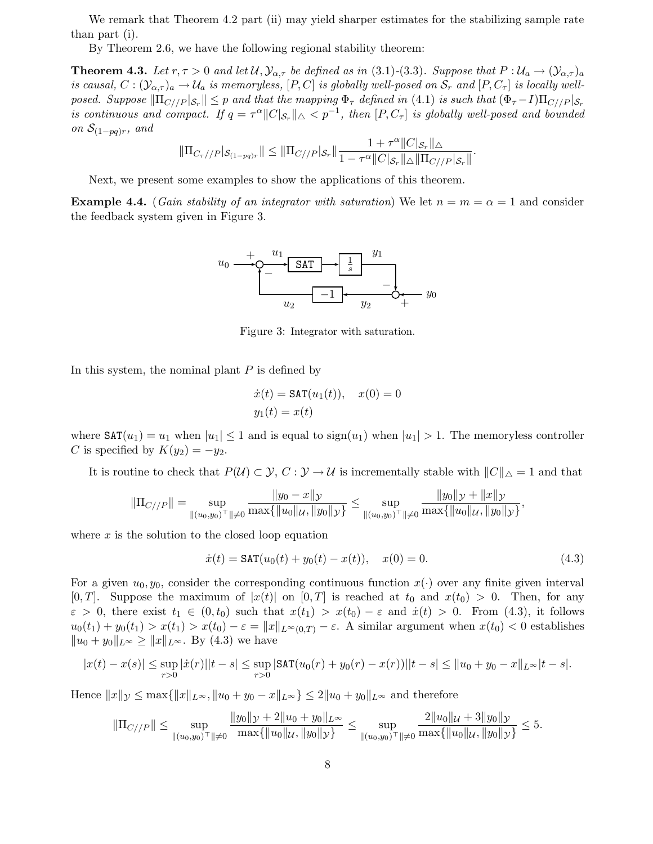We remark that Theorem 4.2 part (ii) may yield sharper estimates for the stabilizing sample rate than part (i).

By Theorem 2.6, we have the following regional stability theorem:

**Theorem 4.3.** Let  $r, \tau > 0$  and let  $\mathcal{U}, \mathcal{Y}_{\alpha,\tau}$  be defined as in (3.1)-(3.3). Suppose that  $P: \mathcal{U}_a \to (\mathcal{Y}_{\alpha,\tau})_a$ is causal,  $C:(\mathcal{Y}_{\alpha,\tau})_a\to\mathcal{U}_a$  is memoryless,  $[P,C]$  is globally well-posed on  $\mathcal{S}_r$  and  $[P,C_\tau]$  is locally wellposed. Suppose  $\|\Pi_{C//P}|_{\mathcal{S}_r}\| \leq p$  and that the mapping  $\Phi_{\tau}$  defined in (4.1) is such that  $(\Phi_{\tau}-I)\Pi_{C//P}|_{\mathcal{S}_r}$ is continuous and compact. If  $q = \tau^{\alpha} ||C|_{\mathcal{S}_r} ||_{\Delta} < p^{-1}$ , then  $[P, C_{\tau}]$  is globally well-posed and bounded on  $S_{(1-pq)r}$ , and

$$
\|\Pi_{C_{\tau}//P}|_{\mathcal{S}_{(1-pq)r}}\| \leq \|\Pi_{C//P}|_{\mathcal{S}_r}\|\frac{1+\tau^{\alpha}\|C|_{\mathcal{S}_r}\|_{\triangle}}{1-\tau^{\alpha}\|C|_{\mathcal{S}_r}\|\triangle\|\Pi_{C//P}|_{\mathcal{S}_r}\|}
$$

.

Next, we present some examples to show the applications of this theorem.

**Example 4.4.** (Gain stability of an integrator with saturation) We let  $n = m = \alpha = 1$  and consider the feedback system given in Figure 3.



Figure 3: Integrator with saturation.

In this system, the nominal plant  $P$  is defined by

$$
\dot{x}(t) = \text{SAT}(u_1(t)), \quad x(0) = 0
$$
  

$$
y_1(t) = x(t)
$$

where  $\text{SAT}(u_1) = u_1$  when  $|u_1| \leq 1$  and is equal to  $\text{sign}(u_1)$  when  $|u_1| > 1$ . The memoryless controller C is specified by  $K(y_2) = -y_2$ .

It is routine to check that  $P(\mathcal{U}) \subset \mathcal{Y}, C : \mathcal{Y} \to \mathcal{U}$  is incrementally stable with  $||C||_{\Delta} = 1$  and that

$$
\|\Pi_{C//P}\| = \sup_{\|(u_0,y_0)^\top\| \neq 0} \frac{\|y_0 - x\|_{\mathcal{Y}}}{\max{\{\|u_0\|_{\mathcal{U}}, \|y_0\|_{\mathcal{Y}}\}}} \leq \sup_{\|(u_0,y_0)^\top\| \neq 0} \frac{\|y_0\|_{\mathcal{Y}} + \|x\|_{\mathcal{Y}}}{\max{\{\|u_0\|_{\mathcal{U}}, \|y_0\|_{\mathcal{Y}}\}}},
$$

where  $x$  is the solution to the closed loop equation

$$
\dot{x}(t) = \text{SAT}(u_0(t) + y_0(t) - x(t)), \quad x(0) = 0.
$$
\n(4.3)

For a given  $u_0, y_0$ , consider the corresponding continuous function  $x(\cdot)$  over any finite given interval [0, T]. Suppose the maximum of  $|x(t)|$  on [0, T] is reached at  $t_0$  and  $x(t_0) > 0$ . Then, for any  $\varepsilon > 0$ , there exist  $t_1 \in (0, t_0)$  such that  $x(t_1) > x(t_0) - \varepsilon$  and  $\dot{x}(t) > 0$ . From (4.3), it follows  $u_0(t_1) + y_0(t_1) > x(t_1) > x(t_0) - \varepsilon = ||x||_{L^\infty(0,T)} - \varepsilon$ . A similar argument when  $x(t_0) < 0$  establishes  $||u_0 + y_0||_{L^{\infty}} \ge ||x||_{L^{\infty}}$ . By (4.3) we have

$$
|x(t) - x(s)| \le \sup_{r>0} |\dot{x}(r)| |t - s| \le \sup_{r>0} |\text{SAT}(u_0(r) + y_0(r) - x(r))||t - s| \le ||u_0 + y_0 - x||_{L^{\infty}} |t - s|.
$$

Hence  $||x||_{\mathcal{Y}} \le \max{||x||_{L^{\infty}}, ||u_0 + y_0 - x||_{L^{\infty}}} \le 2||u_0 + y_0||_{L^{\infty}}$  and therefore

$$
\|\Pi_{C//P}\| \le \sup_{\|(u_0,y_0)^\top\|\neq 0} \frac{\|y_0\|_{\mathcal{Y}}+2\|u_0+y_0\|_{L^\infty}}{\max\{\|u_0\|_{\mathcal{U}},\|y_0\|_{\mathcal{Y}}\}} \le \sup_{\|(u_0,y_0)^\top\|\neq 0} \frac{2\|u_0\|_{\mathcal{U}}+3\|y_0\|_{\mathcal{Y}}}{\max\{\|u_0\|_{\mathcal{U}},\|y_0\|_{\mathcal{Y}}\}} \le 5.
$$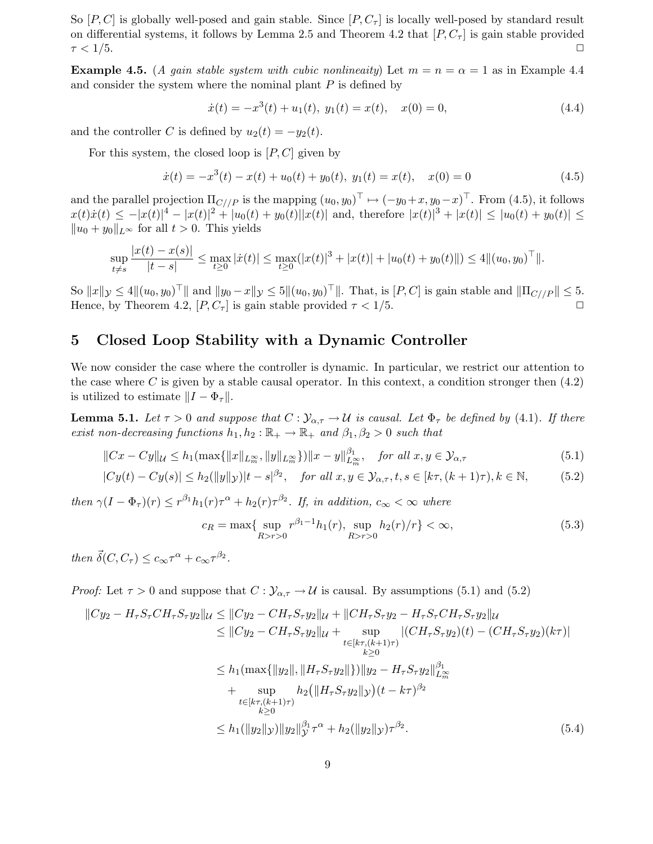So  $[P, C]$  is globally well-posed and gain stable. Since  $[P, C<sub>\tau</sub>]$  is locally well-posed by standard result on differential systems, it follows by Lemma 2.5 and Theorem 4.2 that  $[P, C<sub>\tau</sub>]$  is gain stable provided  $\tau < 1/5$ .

**Example 4.5.** (A gain stable system with cubic nonlineaity) Let  $m = n = \alpha = 1$  as in Example 4.4 and consider the system where the nominal plant  $P$  is defined by

$$
\dot{x}(t) = -x^3(t) + u_1(t), \ y_1(t) = x(t), \quad x(0) = 0,
$$
\n(4.4)

and the controller C is defined by  $u_2(t) = -y_2(t)$ .

For this system, the closed loop is  $[P, C]$  given by

$$
\dot{x}(t) = -x^3(t) - x(t) + u_0(t) + y_0(t), \ y_1(t) = x(t), \quad x(0) = 0 \tag{4.5}
$$

and the parallel projection  $\Pi_{C//P}$  is the mapping  $(u_0, y_0)^\top \mapsto (-y_0 + x, y_0 - x)^\top$ . From (4.5), it follows  $x(t)\dot{x}(t) \leq -|x(t)|^4 - |x(t)|^2 + |u_0(t) + y_0(t)||x(t)|$  and, therefore  $|x(t)|^3 + |x(t)| \leq |u_0(t) + y_0(t)| \leq$  $||u_0 + y_0||_{L^{\infty}}$  for all  $t > 0$ . This yields

$$
\sup_{t \neq s} \frac{|x(t) - x(s)|}{|t - s|} \leq \max_{t \geq 0} |\dot{x}(t)| \leq \max_{t \geq 0} (|x(t)|^3 + |x(t)| + |u_0(t) + y_0(t)|]) \leq 4 \|(u_0, y_0)^\top\|.
$$

So  $||x||_{\mathcal{Y}} \le 4 ||(u_0, y_0)^{\top}||$  and  $||y_0 - x||_{\mathcal{Y}} \le 5 ||(u_0, y_0)^{\top}||$ . That, is  $[P, C]$  is gain stable and  $||\Pi_{C//P}|| \le 5$ . Hence, by Theorem 4.2,  $[P, C_{\tau}]$  is gain stable provided  $\tau < 1/5$ .

#### 5 Closed Loop Stability with a Dynamic Controller

We now consider the case where the controller is dynamic. In particular, we restrict our attention to the case where C is given by a stable causal operator. In this context, a condition stronger then  $(4.2)$ is utilized to estimate  $||I - \Phi_{\tau}||$ .

**Lemma 5.1.** Let  $\tau > 0$  and suppose that  $C : \mathcal{Y}_{\alpha,\tau} \to \mathcal{U}$  is causal. Let  $\Phi_{\tau}$  be defined by (4.1). If there exist non-decreasing functions  $h_1, h_2 : \mathbb{R}_+ \to \mathbb{R}_+$  and  $\beta_1, \beta_2 > 0$  such that

$$
||Cx - Cy||_{\mathcal{U}} \le h_1(\max\{||x||_{L_m^{\infty}}, ||y||_{L_m^{\infty}}\})||x - y||_{L_m^{\infty}}^{\beta_1}, \quad \text{for all } x, y \in \mathcal{Y}_{\alpha, \tau}
$$
(5.1)

$$
|Cy(t)-Cy(s)| \leq h_2(||y||_{\mathcal{Y}})|t-s|^{\beta_2}, \quad \text{for all } x, y \in \mathcal{Y}_{\alpha,\tau}, t, s \in [k\tau, (k+1)\tau), k \in \mathbb{N}, \tag{5.2}
$$

then  $\gamma(I - \Phi_{\tau})(r) \leq r^{\beta_1} h_1(r) \tau^{\alpha} + h_2(r) \tau^{\beta_2}$ . If, in addition,  $c_{\infty} < \infty$  where

$$
c_R = \max\{\sup_{R>r>0} r^{\beta_1 - 1} h_1(r), \sup_{R>r>0} h_2(r)/r\} < \infty,
$$
\n(5.3)

then  $\vec{\delta}(C, C_{\tau}) \leq c_{\infty} \tau^{\alpha} + c_{\infty} \tau^{\beta_2}$ .

*Proof:* Let  $\tau > 0$  and suppose that  $C : \mathcal{Y}_{\alpha,\tau} \to \mathcal{U}$  is causal. By assumptions (5.1) and (5.2)

$$
||Cy_{2} - H_{\tau}S_{\tau}CH_{\tau}S_{\tau}y_{2}||_{\mathcal{U}} \le ||Cy_{2} - CH_{\tau}S_{\tau}y_{2}||_{\mathcal{U}} + ||CH_{\tau}S_{\tau}y_{2} - H_{\tau}S_{\tau}CH_{\tau}S_{\tau}y_{2}||_{\mathcal{U}}\le ||Cy_{2} - CH_{\tau}S_{\tau}y_{2}||_{\mathcal{U}} + \sup_{t \in [k\tau, (k+1)\tau)} |(CH_{\tau}S_{\tau}y_{2})(t) - (CH_{\tau}S_{\tau}y_{2})(k\tau)|\le h_{1}(\max\{||y_{2}||, ||H_{\tau}S_{\tau}y_{2}||\})||y_{2} - H_{\tau}S_{\tau}y_{2}||_{L^{\infty}_{\infty}}^{q_{1}}+ \sup_{k \ge 0} h_{2}(|H_{\tau}S_{\tau}y_{2}||_{\mathcal{Y}})(t - k\tau)^{\beta_{2}}\le h_{1}(|y_{2}||_{\mathcal{Y}})||y_{2}||_{\mathcal{Y}}^{\beta_{1}}\tau^{\alpha} + h_{2}(|y_{2}||_{\mathcal{Y}})\tau^{\beta_{2}}.
$$
\n(5.4)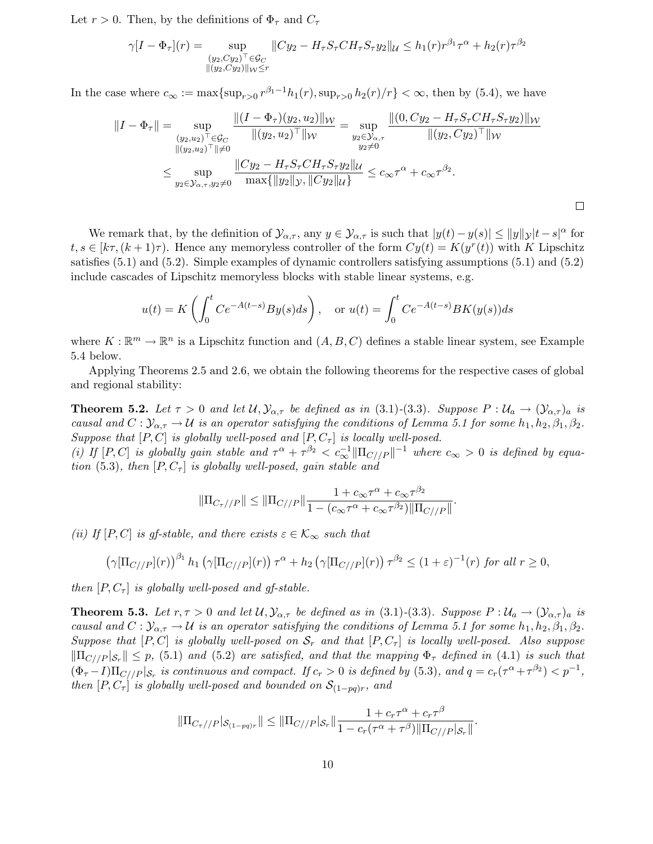Let  $r > 0$ . Then, by the definitions of  $\Phi_{\tau}$  and  $C_{\tau}$ 

$$
\gamma[I - \Phi_{\tau}](r) = \sup_{\substack{(y_2, Cy_2)^\top \in \mathcal{G}_C \\ ||(y_2, Cy_2)||_W \le r}} \|Cy_2 - H_{\tau}S_{\tau}CH_{\tau}S_{\tau}y_2\|_W \le h_1(r)r^{\beta_1} \tau^{\alpha} + h_2(r)\tau^{\beta_2}
$$

In the case where  $c_{\infty} := \max\{\sup_{r>0} r^{\beta_1-1}h_1(r), \sup_{r>0} h_2(r)/r\} < \infty$ , then by (5.4), we have

$$
||I - \Phi_{\tau}|| = \sup_{\substack{(y_2, u_2)^\top \in \mathcal{G}_C \\ ||(y_2, u_2)^\top|| \neq 0}} \frac{||(I - \Phi_{\tau})(y_2, u_2)||_W}{||(y_2, u_2)^\top||_W} = \sup_{\substack{y_2 \in \mathcal{Y}_{\alpha, \tau} \\ y_2 \neq 0}} \frac{||(0, Cy_2 - H_{\tau}S_{\tau}CH_{\tau}S_{\tau}y_2)||_W}{||(y_2, Cy_2)^\top||_W}
$$
  

$$
\leq \sup_{y_2 \in \mathcal{Y}_{\alpha, \tau}, y_2 \neq 0} \frac{||Cy_2 - H_{\tau}S_{\tau}CH_{\tau}S_{\tau}y_2||_U}{\max{||y_2||_{\mathcal{Y}}, ||Cy_2||_{\mathcal{U}}}} \leq c_{\infty} \tau^{\alpha} + c_{\infty} \tau^{\beta_2}.
$$

 $\Box$ 

We remark that, by the definition of  $\mathcal{Y}_{\alpha,\tau}$ , any  $y \in \mathcal{Y}_{\alpha,\tau}$  is such that  $|y(t) - y(s)| \leq ||y||_{\mathcal{Y}} |t-s|^{\alpha}$  for  $t, s \in [k\tau, (k+1)\tau)$ . Hence any memoryless controller of the form  $Cy(t) = K(y^r(t))$  with K Lipschitz satisfies (5.1) and (5.2). Simple examples of dynamic controllers satisfying assumptions (5.1) and (5.2) include cascades of Lipschitz memoryless blocks with stable linear systems, e.g.

$$
u(t) = K\left(\int_0^t Ce^{-A(t-s)}By(s)ds\right), \quad \text{or } u(t) = \int_0^t Ce^{-A(t-s)}BK(y(s))ds
$$

where  $K : \mathbb{R}^m \to \mathbb{R}^n$  is a Lipschitz function and  $(A, B, C)$  defines a stable linear system, see Example 5.4 below.

Applying Theorems 2.5 and 2.6, we obtain the following theorems for the respective cases of global and regional stability:

**Theorem 5.2.** Let  $\tau > 0$  and let  $\mathcal{U}, \mathcal{Y}_{\alpha,\tau}$  be defined as in (3.1)-(3.3). Suppose  $P : \mathcal{U}_a \to (\mathcal{Y}_{\alpha,\tau})_a$  is causal and  $C: \mathcal{Y}_{\alpha,\tau} \to \mathcal{U}$  is an operator satisfying the conditions of Lemma 5.1 for some  $h_1, h_2, \beta_1, \beta_2$ . Suppose that  $[P, C]$  is globally well-posed and  $[P, C<sub>\tau</sub>]$  is locally well-posed.

(i) If  $[P, C]$  is globally gain stable and  $\tau^{\alpha} + \tau^{\beta_2} < c_{\infty}^{-1} \|\Pi_{C//P}\|^{-1}$  where  $c_{\infty} > 0$  is defined by equation (5.3), then  $[P, C<sub>\tau</sub>]$  is globally well-posed, gain stable and

$$
\|\Pi_{C_{\tau}//P}\| \leq \|\Pi_{C//P}\|\frac{1+c_{\infty}\tau^{\alpha}+c_{\infty}\tau^{\beta_2}}{1-(c_{\infty}\tau^{\alpha}+c_{\infty}\tau^{\beta_2})\|\Pi_{C//P}\|}.
$$

(ii) If  $[P, C]$  is gf-stable, and there exists  $\varepsilon \in \mathcal{K}_{\infty}$  such that

$$
\left(\gamma[\Pi_{C//P}](r)\right)^{\beta_1} h_1\left(\gamma[\Pi_{C//P}](r)\right)\tau^{\alpha} + h_2\left(\gamma[\Pi_{C//P}](r)\right)\tau^{\beta_2} \leq (1+\varepsilon)^{-1}(r) \text{ for all } r \geq 0,
$$

then  $[P, C_{\tau}]$  is globally well-posed and gf-stable.

**Theorem 5.3.** Let  $r, \tau > 0$  and let  $\mathcal{U}, \mathcal{Y}_{\alpha,\tau}$  be defined as in (3.1)-(3.3). Suppose  $P : \mathcal{U}_a \to (\mathcal{Y}_{\alpha,\tau})_a$  is causal and  $C: \mathcal{Y}_{\alpha,\tau} \to \mathcal{U}$  is an operator satisfying the conditions of Lemma 5.1 for some  $h_1, h_2, \beta_1, \beta_2$ . Suppose that  $[P, C]$  is globally well-posed on  $S_r$  and that  $[P, C_\tau]$  is locally well-posed. Also suppose  $\|\Pi_{C//P}|_{\mathcal{S}_r}\| \leq p$ , (5.1) and (5.2) are satisfied, and that the mapping  $\Phi_{\tau}$  defined in (4.1) is such that  $(\Phi_{\tau}-I)\Pi_{C//P}|_{\mathcal{S}_r}$  is continuous and compact. If  $c_r > 0$  is defined by (5.3), and  $q = c_r(\tau^{\alpha} + \tau^{\beta_2}) < p^{-1}$ , then  $[P, C_{\tau}]$  is globally well-posed and bounded on  $\mathcal{S}_{(1-pq)r}$ , and

$$
\|\Pi_{C_{\tau}//P}|_{\mathcal{S}_{(1-pq)r}}\| \leq \|\Pi_{C//P}|_{\mathcal{S}_r}\|\frac{1+c_r\tau^{\alpha}+c_r\tau^{\beta}}{1-c_r(\tau^{\alpha}+\tau^{\beta})\|\Pi_{C//P}|_{\mathcal{S}_r}\|}.
$$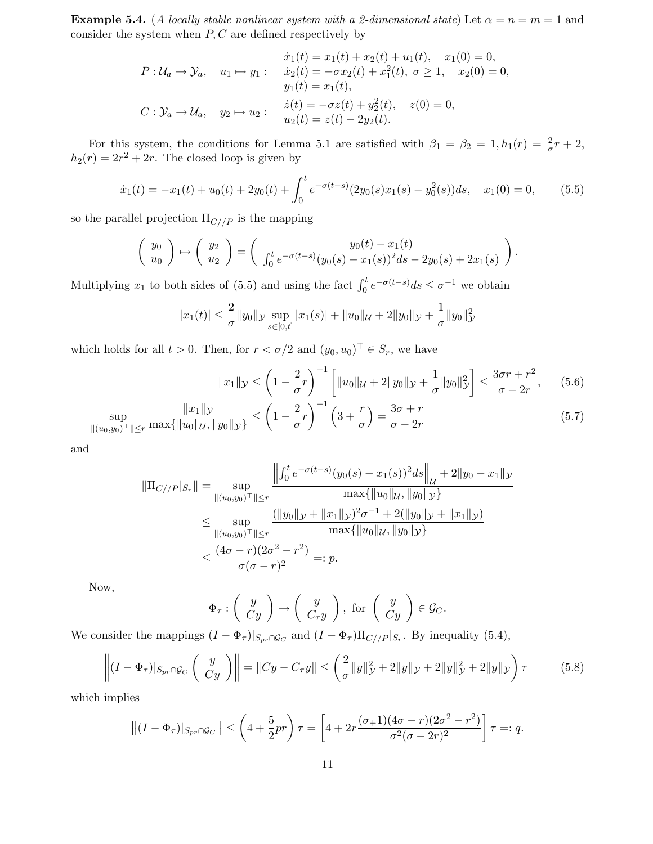**Example 5.4.** (A locally stable nonlinear system with a 2-dimensional state) Let  $\alpha = n = m = 1$  and consider the system when  $P, C$  are defined respectively by

$$
\dot{x}_1(t) = x_1(t) + x_2(t) + u_1(t), \quad x_1(0) = 0,
$$
  
\n
$$
P: U_a \to Y_a, \quad u_1 \mapsto y_1: \quad \dot{x}_2(t) = -\sigma x_2(t) + x_1^2(t), \quad \sigma \ge 1, \quad x_2(0) = 0,
$$
  
\n
$$
y_1(t) = x_1(t),
$$
  
\n
$$
C: Y_a \to U_a, \quad y_2 \mapsto u_2: \quad \begin{array}{c} \dot{z}(t) = -\sigma z(t) + y_2^2(t), \quad z(0) = 0, \\ u_2(t) = z(t) - 2y_2(t). \end{array}
$$

For this system, the conditions for Lemma 5.1 are satisfied with  $\beta_1 = \beta_2 = 1, h_1(r) = \frac{2}{\sigma}$  $\frac{2}{\sigma}r+2,$  $h_2(r) = 2r^2 + 2r$ . The closed loop is given by

$$
\dot{x}_1(t) = -x_1(t) + u_0(t) + 2y_0(t) + \int_0^t e^{-\sigma(t-s)} (2y_0(s)x_1(s) - y_0^2(s))ds, \quad x_1(0) = 0,\tag{5.5}
$$

so the parallel projection  $\Pi_{C//P}$  is the mapping

$$
\begin{pmatrix} y_0 \\ u_0 \end{pmatrix} \mapsto \begin{pmatrix} y_2 \\ u_2 \end{pmatrix} = \begin{pmatrix} y_0(t) - x_1(t) \\ \int_0^t e^{-\sigma(t-s)} (y_0(s) - x_1(s))^2 ds - 2y_0(s) + 2x_1(s) \end{pmatrix}.
$$

Multiplying  $x_1$  to both sides of (5.5) and using the fact  $\int_0^t e^{-\sigma(t-s)}ds \leq \sigma^{-1}$  we obtain

$$
|x_1(t)| \leq \frac{2}{\sigma} ||y_0||_{\mathcal{Y}} \sup_{s \in [0,t]} |x_1(s)| + ||u_0||_{\mathcal{U}} + 2||y_0||_{\mathcal{Y}} + \frac{1}{\sigma} ||y_0||_{\mathcal{Y}}^2
$$

which holds for all  $t > 0$ . Then, for  $r < \sigma/2$  and  $(y_0, u_0)^\top \in S_r$ , we have

$$
||x_1||_{\mathcal{Y}} \le \left(1 - \frac{2}{\sigma}r\right)^{-1} \left[||u_0||_{\mathcal{U}} + 2||y_0||_{\mathcal{Y}} + \frac{1}{\sigma}||y_0||_{\mathcal{Y}}^2\right] \le \frac{3\sigma r + r^2}{\sigma - 2r},\qquad(5.6)
$$
  
pp 
$$
\frac{||x_1||_{\mathcal{Y}}}{\sigma - \frac{||x_1||_{\mathcal{Y}}}{\sigma - \frac{||x_1||_{\mathcal{Y}}}{\sigma - \frac{||x_1||_{\mathcal{Y}}}{\sigma - \frac{||x_1||_{\mathcal{Y}}}{\sigma - \frac{||x_1||_{\mathcal{Y}}}{\sigma - \frac{||x_1||_{\mathcal{Y}}}{\sigma - \frac{||x_1||_{\mathcal{Y}}}{\sigma - \frac{||x_1||_{\mathcal{Y}}}{\sigma - \frac{||x_1||_{\mathcal{Y}}}{\sigma - \frac{||x_1||_{\mathcal{Y}}}{\sigma - \frac{||x_1||_{\mathcal{Y}}}{\sigma - \frac{||x_1||_{\mathcal{Y}}}{\sigma - \frac{||x_1||_{\mathcal{Y}}}{\sigma - \frac{||x_1||_{\mathcal{Y}}}{\sigma - \frac{||x_1||_{\mathcal{Y}}}{\sigma - \frac{||x_1||_{\mathcal{Y}}}{\sigma - \frac{||x_1||_{\mathcal{Y}}}{\sigma - \frac{||x_1||_{\mathcal{Y}}}{\sigma - \frac{||x_1||_{\mathcal{Y}}}{\sigma - \frac{||x_1||_{\mathcal{Y}}}{\sigma - \frac{||x_1||_{\mathcal{Y}}}{\sigma - \frac{||x_1||_{\mathcal{Y}}}{\sigma - \frac{||x_1||_{\mathcal{Y}}}{\sigma - \frac{||x_1||_{\mathcal{Y}}}{\sigma - \frac{||x_1||_{\mathcal{Y}}}{\sigma - \frac{||x_1||_{\mathcal{Y}}}{\sigma - \frac{||x_1||_{\mathcal{Y}}}{\sigma - \frac{||x_1||_{\mathcal{Y}}}{\sigma - \frac{||x_1||_{\mathcal{Y}}}{\sigma - \frac{||x_1||_{\mathcal{Y}}}{\sigma - \frac{||x_1||_{\mathcal{Y}}}{\sigma - \frac{||x_1||_{\mathcal{Y}}}{\sigma - \frac{
$$

$$
\sup_{\|(u_0, y_0)^\top\| \le r} \frac{\sup_{\|u\| \le \sqrt{2\pi}}}{\max\{\|u_0\| \mathcal{U}, \|y_0\| \mathcal{Y}\}} \le \left(1 - \frac{\epsilon}{\sigma} r\right) \quad \left(3 + \frac{\epsilon}{\sigma}\right) = \frac{\frac{\epsilon}{\sigma} \cdot \frac{\epsilon}{\sigma}}{\sigma - 2r} \tag{5.7}
$$

and

$$
\|\Pi_{C//P}|_{S_r}\| = \sup_{\|(u_0,y_0)^{\top}\| \le r} \frac{\left\| \int_0^t e^{-\sigma(t-s)} (y_0(s) - x_1(s))^2 ds \right\|_{\mathcal{U}} + 2\|y_0 - x_1\|_{\mathcal{Y}}}{\max\{\|u_0\|_{\mathcal{U}}, \|y_0\|_{\mathcal{Y}}\}}
$$
  

$$
\le \sup_{\|(u_0,y_0)^{\top}\| \le r} \frac{(\|y_0\|_{\mathcal{Y}} + \|x_1\|_{\mathcal{Y}})^2 \sigma^{-1} + 2(\|y_0\|_{\mathcal{Y}} + \|x_1\|_{\mathcal{Y}})}{\max\{\|u_0\|_{\mathcal{U}}, \|y_0\|_{\mathcal{Y}}\}}
$$
  

$$
\le \frac{(4\sigma - r)(2\sigma^2 - r^2)}{\sigma(\sigma - r)^2} =: p.
$$

Now,

$$
\Phi_{\tau}: \left(\begin{array}{c}y\\Cy\end{array}\right) \to \left(\begin{array}{c}y\\C_{\tau}y\end{array}\right), \text{ for }\left(\begin{array}{c}y\\Cy\end{array}\right) \in \mathcal{G}_{C}.
$$
\n
$$
(I - \Phi)|_{\mathcal{G}} = \mathcal{G} \text{ and } (I - \Phi)|_{\mathcal{G}} \text{ by large basis}
$$

We consider the mappings  $(I - \Phi_{\tau})|_{S_{pr} \cap \mathcal{G}_C}$  and  $(I - \Phi_{\tau})\Pi_{C//P}|_{S_r}$ . By inequality (5.4),

$$
\left\| (I - \Phi_{\tau}) |_{S_{pr} \cap \mathcal{G}_C} \left( \begin{array}{c} y \\ Cy \end{array} \right) \right\| = \| Cy - C_{\tau} y \| \le \left( \frac{2}{\sigma} \|y\|_{\mathcal{Y}}^2 + 2\|y\|_{\mathcal{Y}} + 2\|y\|_{\mathcal{Y}}^2 + 2\|y\|_{\mathcal{Y}} \right) \tau \tag{5.8}
$$

which implies

$$
||(I - \Phi_{\tau})|_{S_{pr} \cap \mathcal{G}_C}|| \leq \left(4 + \frac{5}{2}pr\right)\tau = \left[4 + 2r\frac{(\sigma+1)(4\sigma - r)(2\sigma^2 - r^2)}{\sigma^2(\sigma - 2r)^2}\right]\tau =: q.
$$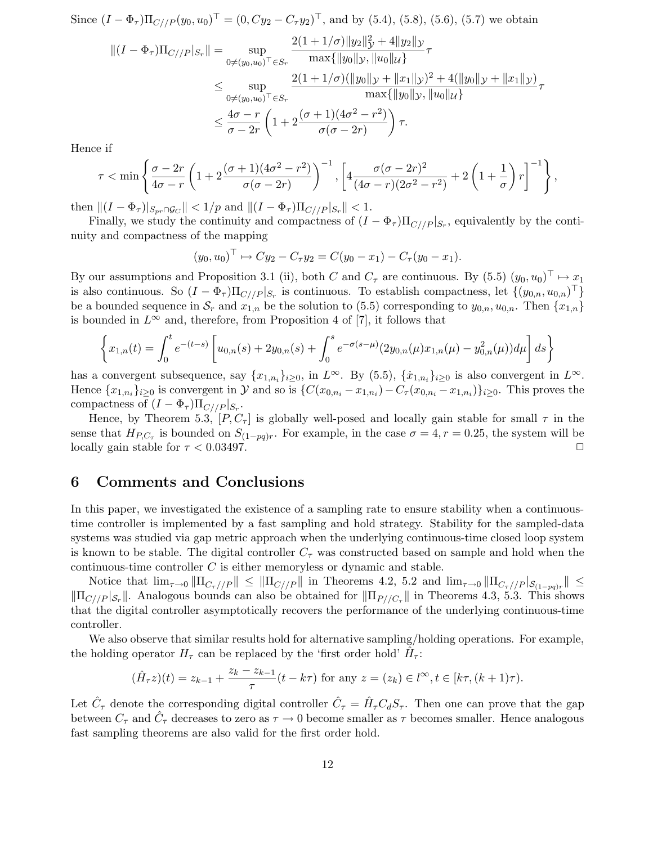Since  $(I - \Phi_{\tau})\Pi_{C//P}(y_0, u_0)^{\top} = (0, Cy_2 - C_{\tau}y_2)^{\top}$ , and by (5.4), (5.8), (5.6), (5.7) we obtain

$$
\begin{split} \|(I - \Phi_{\tau})\Pi_{C//P}|_{S_r} \| &= \sup_{0 \neq (y_0, u_0)^\top \in S_r} \frac{2(1 + 1/\sigma) \|y_2\|_{\mathcal{Y}}^2 + 4\|y_2\|_{\mathcal{Y}}}{\max\{\|y_0\|_{\mathcal{Y}}, \|u_0\|_{\mathcal{U}}\}} \tau \\ &\leq \sup_{0 \neq (y_0, u_0)^\top \in S_r} \frac{2(1 + 1/\sigma)(\|y_0\|_{\mathcal{Y}} + \|x_1\|_{\mathcal{Y}})^2 + 4(\|y_0\|_{\mathcal{Y}} + \|x_1\|_{\mathcal{Y}})}{\max\{\|y_0\|_{\mathcal{Y}}, \|u_0\|_{\mathcal{U}}\}} \tau \\ &\leq \frac{4\sigma - r}{\sigma - 2r} \left(1 + 2\frac{(\sigma + 1)(4\sigma^2 - r^2)}{\sigma(\sigma - 2r)}\right) \tau. \end{split}
$$

Hence if

$$
\tau < \min\left\{\frac{\sigma - 2r}{4\sigma - r} \left(1 + 2\frac{(\sigma + 1)(4\sigma^2 - r^2)}{\sigma(\sigma - 2r)}\right)^{-1}, \left[4\frac{\sigma(\sigma - 2r)^2}{(4\sigma - r)(2\sigma^2 - r^2)} + 2\left(1 + \frac{1}{\sigma}\right)r\right]^{-1}\right\},\right\}
$$

then  $|| (I - \Phi_{\tau}) |_{S_{pr} \cap \mathcal{G}_C} || < 1/p$  and  $|| (I - \Phi_{\tau}) \Pi_{C//P} |_{S_r} || < 1$ .

Finally, we study the continuity and compactness of  $(I - \Phi_{\tau}) \Pi_{C//P}|_{S_r}$ , equivalently by the continuity and compactness of the mapping

$$
(y_0, u_0)^\top \mapsto Cy_2 - C_\tau y_2 = C(y_0 - x_1) - C_\tau (y_0 - x_1).
$$

By our assumptions and Proposition 3.1 (ii), both C and  $C_{\tau}$  are continuous. By  $(5.5)(y_0, u_0)^{\top} \mapsto x_1$ is also continuous. So  $(I - \Phi_{\tau}) \Pi_{C//P}|_{S_r}$  is continuous. To establish compactness, let  $\{(y_{0,n}, u_{0,n})^{\top}\}\$ be a bounded sequence in  $\mathcal{S}_r$  and  $x_{1,n}$  be the solution to (5.5) corresponding to  $y_{0,n}$ ,  $u_{0,n}$ . Then  $\{x_{1,n}\}$ is bounded in  $L^{\infty}$  and, therefore, from Proposition 4 of [7], it follows that

$$
\left\{x_{1,n}(t) = \int_0^t e^{-(t-s)} \left[u_{0,n}(s) + 2y_{0,n}(s) + \int_0^s e^{-\sigma(s-\mu)} (2y_{0,n}(\mu)x_{1,n}(\mu) - y_{0,n}^2(\mu))d\mu\right]ds\right\}
$$

has a convergent subsequence, say  $\{x_{1,n_i}\}_{i\geq 0}$ , in  $L^{\infty}$ . By (5.5),  $\{\dot{x}_{1,n_i}\}_{i\geq 0}$  is also convergent in  $L^{\infty}$ . Hence  $\{x_{1,n_i}\}_{i\geq 0}$  is convergent in  $\mathcal Y$  and so is  $\{C(x_{0,n_i}-x_{1,n_i})-C_\tau(x_{0,n_i}-x_{1,n_i})\}_{i\geq 0}$ . This proves the compactness of  $(I - \Phi_{\tau}) \Pi_{C//P}|_{S_r}$ .

Hence, by Theorem 5.3,  $[P, C_{\tau}]$  is globally well-posed and locally gain stable for small  $\tau$  in the sense that  $H_{P,C_{\tau}}$  is bounded on  $S_{(1-pq)r}$ . For example, in the case  $\sigma = 4, r = 0.25$ , the system will be locally gain stable for  $\tau < 0.03497$ .

### 6 Comments and Conclusions

In this paper, we investigated the existence of a sampling rate to ensure stability when a continuoustime controller is implemented by a fast sampling and hold strategy. Stability for the sampled-data systems was studied via gap metric approach when the underlying continuous-time closed loop system is known to be stable. The digital controller  $C_{\tau}$  was constructed based on sample and hold when the continuous-time controller C is either memoryless or dynamic and stable.

Notice that  $\lim_{\tau\to 0} \|\Pi_{C_{\tau}}/P\| \leq \|\Pi_{C//P}\|$  in Theorems 4.2, 5.2 and  $\lim_{\tau\to 0} \|\Pi_{C_{\tau}}/P|_{\mathcal{S}_{(1-pq)r}}\| \leq$  $\|\Pi_{C//P}|\mathcal{S}_r\|$ . Analogous bounds can also be obtained for  $\|\Pi_{P//C_r}\|$  in Theorems 4.3, 5.3. This shows that the digital controller asymptotically recovers the performance of the underlying continuous-time controller.

We also observe that similar results hold for alternative sampling/holding operations. For example, the holding operator  $H_{\tau}$  can be replaced by the 'first order hold'  $\hat{H}_{\tau}$ :

$$
(\hat{H}_{\tau}z)(t) = z_{k-1} + \frac{z_k - z_{k-1}}{\tau}(t - k\tau) \text{ for any } z = (z_k) \in l^{\infty}, t \in [k\tau, (k+1)\tau).
$$

Let  $\hat{C}_{\tau}$  denote the corresponding digital controller  $\hat{C}_{\tau} = \hat{H}_{\tau} C_d S_{\tau}$ . Then one can prove that the gap between  $C_{\tau}$  and  $\hat{C}_{\tau}$  decreases to zero as  $\tau \to 0$  become smaller as  $\tau$  becomes smaller. Hence analogous fast sampling theorems are also valid for the first order hold.